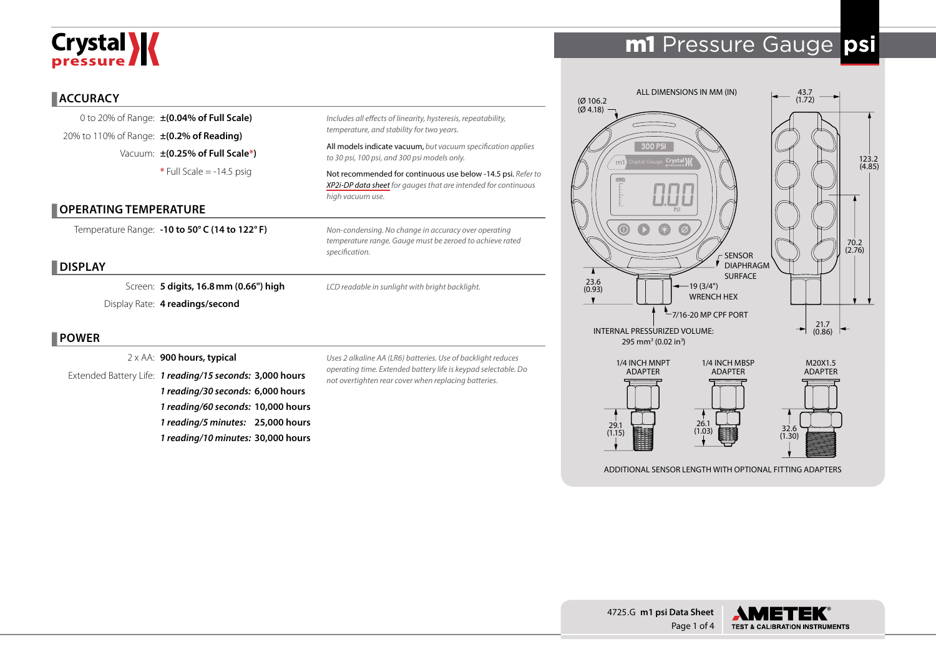# Crystal **X**

## m1 Pressure Gauge **psi**

#### **ACCURACY**

0 to 20% of Range: **±(0.04% of Full Scale)** 20% to 110% of Range: **±(0.2% of Reading)** Vacuum: **±(0.25% of Full Scale\*) \*** Full Scale = -14.5 psig

#### **OPERATING TEMPERATURE**

Temperature Range: **-10 to 50° C (14 to 122° F)**

#### **DISPLAY**

Screen: **5 digits, 16.8mm (0.66") high** Display Rate: **4 readings/second**

#### **POWER**

2 x AA: **900 hours, typical**

Extended Battery Life: *1 reading/15 seconds:* **3,000 hours** *1 reading/30 seconds:* **6,000 hours** *1 reading/60 seconds:* **10,000 hours** *1 reading/5 minutes:* **25,000 hours** *1 reading/10 minutes:* **30,000 hours**

*Uses 2 alkaline AA (LR6) batteries. Use of backlight reduces operating time. Extended battery life is keypad selectable. Do not overtighten rear cover when replacing batteries.*

*Includes all effects of linearity, hysteresis, repeatability,* 

*Non-condensing. No change in accuracy over operating temperature range. Gauge must be zeroed to achieve rated* 

*LCD readable in sunlight with bright backlight.*

All models indicate vacuum, *but vacuum specification applies* 

Not recommended for continuous use below -14.5 psi. *Refer to [XP2i-DP data sheet](http://www.crystalengineering.net/xp2idp) for gauges that are intended for continuous* 

*temperature, and stability for two years.*

*to 30 psi, 100 psi, and 300 psi models only.*

*high vacuum use.* 

*specification.*



ADDITIONAL SENSOR LENGTH WITH OPTIONAL FITTING ADAPTERS

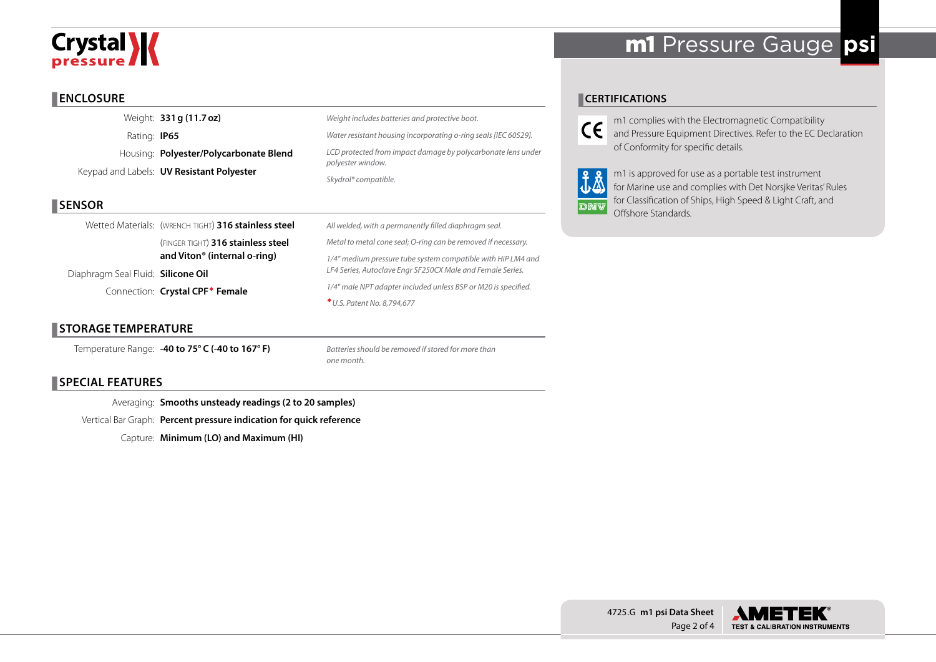# **Crystal >>>>>**

## m1 Pressure Gauge **psi**

#### **ENCLOSURE**

Weight: **331g (11.7oz)** Rating: **IP65** Housing: **Polyester/Polycarbonate Blend** Keypad and Labels: **UV Resistant Polyester**

#### **SENSOR**

Wetted Materials: (WRENCH TIGHT) 316 stainless steel (finger tight) **316 stainless steel and Viton® (internal o-ring)** Diaphragm Seal Fluid: **Silicone Oil** 

Connection: **Crystal CPF Female**

#### **STORAGE TEMPERATURE**

Temperature Range: **-40 to 75° C (-40 to 167° F)**

*Weight includes batteries and protective boot. Water resistant housing incorporating o-ring seals [IEC 60529]. LCD protected from impact damage by polycarbonate lens under polyester window. Skydrol® compatible.*

#### *All welded, with a permanently filled diaphragm seal. Metal to metal cone seal; O-ring can be removed if necessary. 1/4" medium pressure tube system compatible with HiP LM4 and LF4 Series, Autoclave Engr SF250CX Male and Female Series. 1/4" male NPT adapter included unless BSP or M20 is specified. U.S. Patent No. 8,794,677*

*Batteries should be removed if stored for more than* 

*one month.*

#### **CERTIFICATIONS**

m1 complies with the Electromagnetic Compatibility  $C\epsilon$ and Pressure Equipment Directives. Refer to the EC Declaration of Conformity for specific details.

m1 is approved for use as a portable test instrument for Marine use and complies with Det Norsjke Veritas' Rules for Classification of Ships, High Speed & Light Craft, and din Offshore Standards.

#### **SPECIAL FEATURES**

Averaging: **Smooths unsteady readings (2 to 20 samples)** Vertical Bar Graph: **Percent pressure indication for quick reference**

Capture: **Minimum (LO) and Maximum (HI)**

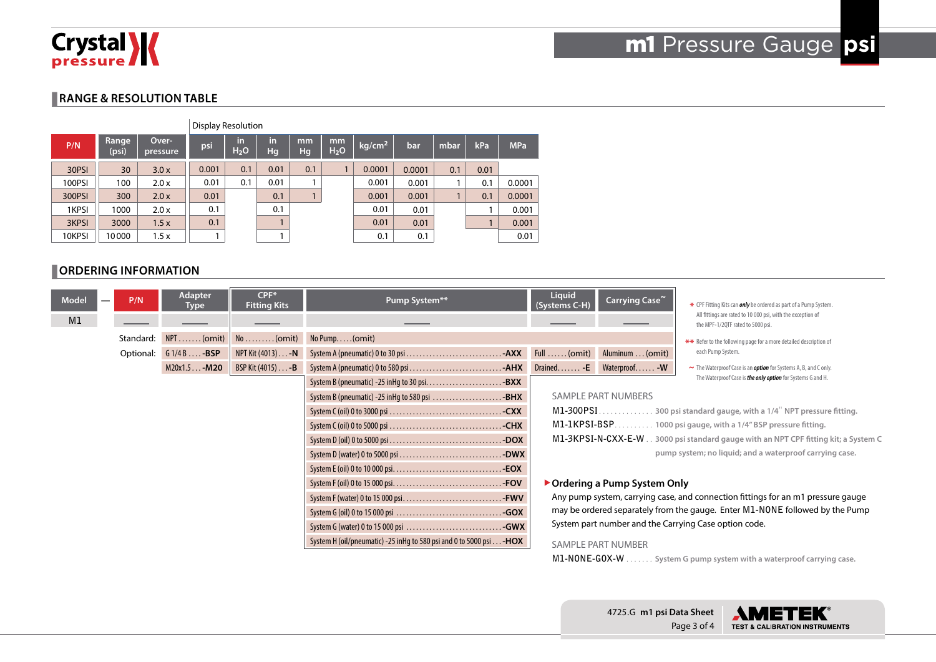

#### **RANGE & RESOLUTION TABLE**

|        | Display Resolution |                   |       |                        |           |              |                        |                    |        |      |      |            |
|--------|--------------------|-------------------|-------|------------------------|-----------|--------------|------------------------|--------------------|--------|------|------|------------|
| P/N    | Range<br>(psi)     | Over-<br>pressure | psi   | in<br>H <sub>2</sub> O | in<br>Hg. | mm<br>Hg     | mm<br>H <sub>2</sub> O | kg/cm <sup>2</sup> | bar    | mbar | kPa  | <b>MPa</b> |
| 30PSI  | 30                 | 3.0x              | 0.001 | 0.1                    | 0.01      | 0.1          |                        | 0.0001             | 0.0001 | 0.1  | 0.01 |            |
| 100PSI | 100                | 2.0 x             | 0.01  | 0.1                    | 0.01      |              |                        | 0.001              | 0.001  |      | 0.1  | 0.0001     |
| 300PSI | 300                | 2.0x              | 0.01  |                        | 0.1       | $\mathbf{1}$ |                        | 0.001              | 0.001  |      | 0.1  | 0.0001     |
| 1KPSI  | 1000               | 2.0 x             | 0.1   |                        | 0.1       |              |                        | 0.01               | 0.01   |      |      | 0.001      |
| 3KPSI  | 3000               | 1.5x              | 0.1   |                        |           |              |                        | 0.01               | 0.01   |      |      | 0.001      |
| 10KPSI | 10000              | 1.5x              |       |                        |           |              |                        | 0.1                | 0.1    |      |      | 0.01       |

#### **ORDERING INFORMATION**

| <b>Model</b> | P/N       | Adapter<br>$CPF*$<br><b>Fitting Kits</b><br><b>Type</b> |                                              | Pump System**                                                                | <b>Liquid</b><br>Carrying Case~<br>(Systems C-H)                                 |                           | * CPF Fitting Kits can <i>only</i> be ordered as part of a Pump System.                          |  |  |
|--------------|-----------|---------------------------------------------------------|----------------------------------------------|------------------------------------------------------------------------------|----------------------------------------------------------------------------------|---------------------------|--------------------------------------------------------------------------------------------------|--|--|
| M1           |           |                                                         |                                              |                                                                              |                                                                                  |                           | All fittings are rated to 10 000 psi, with the exception of<br>the MPF-1/2QTF rated to 5000 psi. |  |  |
|              | Standard: | $NPT$ (omit)                                            | $No \dots (omit)$                            | $No$ Pump $(omit)$                                                           |                                                                                  |                           | ** Refer to the following page for a more detailed description of                                |  |  |
|              | Optional: | $G1/4B$ -BSP                                            | NPT Kit (4013) - N                           |                                                                              |                                                                                  | Aluminum  (omit)          | each Pump System.                                                                                |  |  |
|              |           | $M20x1.5 - M20$                                         | BSP Kit (4015) - <b>B</b>                    |                                                                              |                                                                                  |                           | ~ The Waterproof Case is an <b>option</b> for Systems A, B, and C only.                          |  |  |
|              |           |                                                         |                                              |                                                                              |                                                                                  |                           | The Waterproof Case is <i>the only option</i> for Systems G and H.                               |  |  |
|              |           |                                                         | System B (pneumatic) -25 inHg to 580 psi BHX | <b>SAMPLE PART NUMBERS</b>                                                   |                                                                                  |                           |                                                                                                  |  |  |
|              |           |                                                         |                                              | $M1-300PSI$<br>. 300 psi standard gauge, with a 1/4" NPT pressure fitting.   |                                                                                  |                           |                                                                                                  |  |  |
|              |           |                                                         |                                              |                                                                              | M1-1KPSI-BSP 1000 psi gauge, with a 1/4" BSP pressure fitting.                   |                           |                                                                                                  |  |  |
|              |           |                                                         |                                              |                                                                              |                                                                                  |                           | M1-3KPSI-N-CXX-E-W 3000 psi standard gauge with an NPT CPF fitting kit; a System C               |  |  |
|              |           |                                                         |                                              |                                                                              |                                                                                  |                           | pump system; no liquid; and a waterproof carrying case.                                          |  |  |
|              |           |                                                         |                                              |                                                                              |                                                                                  |                           |                                                                                                  |  |  |
|              |           |                                                         |                                              | ▶ Ordering a Pump System Only                                                |                                                                                  |                           |                                                                                                  |  |  |
|              |           |                                                         |                                              |                                                                              | Any pump system, carrying case, and connection fittings for an m1 pressure gauge |                           |                                                                                                  |  |  |
|              |           |                                                         |                                              |                                                                              | may be ordered separately from the gauge. Enter M1-NONE followed by the Pump     |                           |                                                                                                  |  |  |
|              |           |                                                         |                                              |                                                                              | System part number and the Carrying Case option code.                            |                           |                                                                                                  |  |  |
|              |           |                                                         |                                              | System H (oil/pneumatic) -25 in Hg to 580 psi and 0 to 5000 psi $\dots$ -HOX |                                                                                  | <b>SAMPLE PART NUMBER</b> |                                                                                                  |  |  |
|              |           |                                                         |                                              |                                                                              |                                                                                  |                           | M1-NONE-GOX-W System G pump system with a waterproof carrying case.                              |  |  |